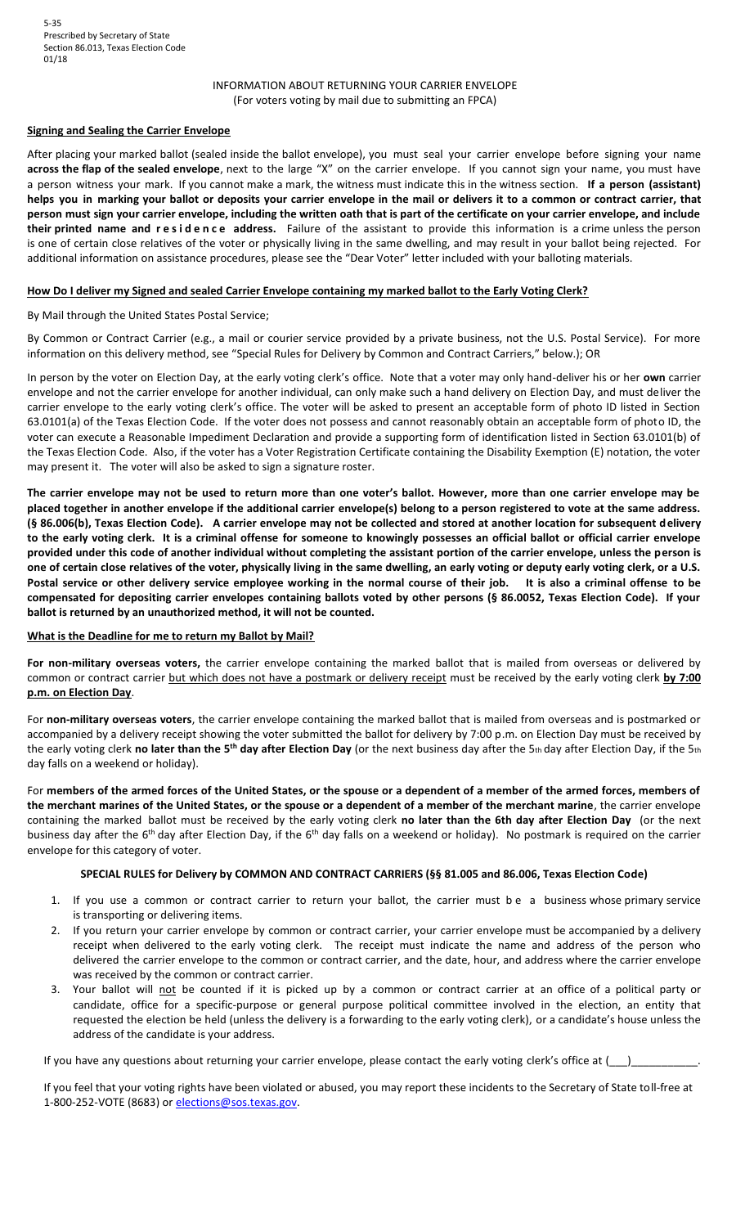## INFORMATION ABOUT RETURNING YOUR CARRIER ENVELOPE (For voters voting by mail due to submitting an FPCA)

## **Signing and Sealing the Carrier Envelope**

After placing your marked ballot (sealed inside the ballot envelope), you must seal your carrier envelope before signing your name **across the flap of the sealed envelope**, next to the large "X" on the carrier envelope. If you cannot sign your name, you must have a person witness your mark. If you cannot make a mark, the witness must indicate this in the witness section. **If a person (assistant) helps you in marking your ballot or deposits your carrier envelope in the mail or delivers it to a common or contract carrier, that person must sign your carrier envelope, including the written oath that is part of the certificate on your carrier envelope, and include**  their printed name and residence address. Failure of the assistant to provide this information is a crime unless the person is one of certain close relatives of the voter or physically living in the same dwelling, and may result in your ballot being rejected. For additional information on assistance procedures, please see the "Dear Voter" letter included with your balloting materials.

#### **How Do I deliver my Signed and sealed Carrier Envelope containing my marked ballot to the Early Voting Clerk?**

#### By Mail through the United States Postal Service;

By Common or Contract Carrier (e.g., a mail or courier service provided by a private business, not the U.S. Postal Service). For more information on this delivery method, see "Special Rules for Delivery by Common and Contract Carriers," below.); OR

In person by the voter on Election Day, at the early voting clerk's office. Note that a voter may only hand-deliver his or her **own** carrier envelope and not the carrier envelope for another individual, can only make such a hand delivery on Election Day, and must deliver the carrier envelope to the early voting clerk's office. The voter will be asked to present an acceptable form of photo ID listed in Section 63.0101(a) of the Texas Election Code. If the voter does not possess and cannot reasonably obtain an acceptable form of photo ID, the voter can execute a Reasonable Impediment Declaration and provide a supporting form of identification listed in Section 63.0101(b) of the Texas Election Code. Also, if the voter has a Voter Registration Certificate containing the Disability Exemption (E) notation, the voter may present it. The voter will also be asked to sign a signature roster.

**The carrier envelope may not be used to return more than one voter's ballot. However, more than one carrier envelope may be placed together in another envelope if the additional carrier envelope(s) belong to a person registered to vote at the same address. (§ 86.006(b), Texas Election Code). A carrier envelope may not be collected and stored at another location for subsequent delivery to the early voting clerk. It is a criminal offense for someone to knowingly possesses an official ballot or official carrier envelope provided under this code of another individual without completing the assistant portion of the carrier envelope, unless the person is one of certain close relatives of the voter, physically living in the same dwelling, an early voting or deputy early voting clerk, or a U.S. Postal service or other delivery service employee working in the normal course of their job. It is also a criminal offense to be compensated for depositing carrier envelopes containing ballots voted by other persons (§ 86.0052, Texas Election Code). If your ballot is returned by an unauthorized method, it will not be counted.** 

## **What is the Deadline for me to return my Ballot by Mail?**

**For non-military overseas voters,** the carrier envelope containing the marked ballot that is mailed from overseas or delivered by common or contract carrier but which does not have a postmark or delivery receipt must be received by the early voting clerk **by 7:00 p.m. on Election Day**.

For **non-military overseas voters**, the carrier envelope containing the marked ballot that is mailed from overseas and is postmarked or accompanied by a delivery receipt showing the voter submitted the ballot for delivery by 7:00 p.m. on Election Day must be received by the early voting clerk **no later than the 5th day after Election Day** (or the next business day after the 5th day after Election Day, if the 5th day falls on a weekend or holiday).

For **members of the armed forces of the United States, or the spouse or a dependent of a member of the armed forces, members of the merchant marines of the United States, or the spouse or a dependent of a member of the merchant marine**, the carrier envelope containing the marked ballot must be received by the early voting clerk **no later than the 6th day after Election Day** (or the next business day after the 6<sup>th</sup> day after Election Day, if the 6<sup>th</sup> day falls on a weekend or holiday). No postmark is required on the carrier envelope for this category of voter.

#### **SPECIAL RULES for Delivery by COMMON AND CONTRACT CARRIERS (§§ 81.005 and 86.006, Texas Election Code)**

- 1. If you use a common or contract carrier to return your ballot, the carrier must b e a business whose primary service is transporting or delivering items.
- 2. If you return your carrier envelope by common or contract carrier, your carrier envelope must be accompanied by a delivery receipt when delivered to the early voting clerk. The receipt must indicate the name and address of the person who delivered the carrier envelope to the common or contract carrier, and the date, hour, and address where the carrier envelope was received by the common or contract carrier.
- 3. Your ballot will not be counted if it is picked up by a common or contract carrier at an office of a political party or candidate, office for a specific-purpose or general purpose political committee involved in the election, an entity that requested the election be held (unless the delivery is a forwarding to the early voting clerk), or a candidate's house unless the address of the candidate is your address.

If you have any questions about returning your carrier envelope, please contact the early voting clerk's office at (

If you feel that your voting rights have been violated or abused, you may report these incidents to the Secretary of State toll-free at 1-800-252-VOTE (8683) o[r elections@sos.texas.gov.](mailto:elections@sos.texas.gov)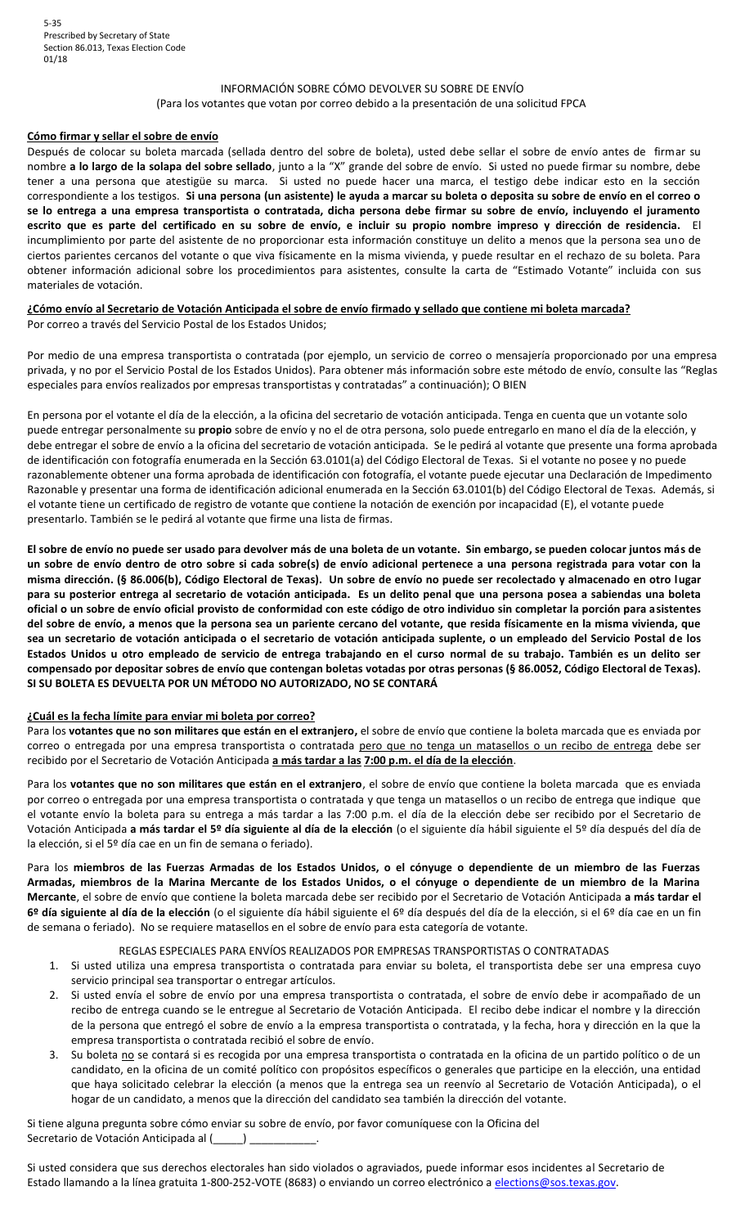## INFORMACIÓN SOBRE CÓMO DEVOLVER SU SOBRE DE ENVĺO

#### (Para los votantes que votan por correo debido a la presentación de una solicitud FPCA

#### **Cómo firmar y sellar el sobre de envío**

Después de colocar su boleta marcada (sellada dentro del sobre de boleta), usted debe sellar el sobre de envío antes de firmar su nombre **a lo largo de la solapa del sobre sellado**, junto a la "X" grande del sobre de envío. Si usted no puede firmar su nombre, debe tener a una persona que atestigüe su marca. Si usted no puede hacer una marca, el testigo debe indicar esto en la sección correspondiente a los testigos. **Si una persona (un asistente) le ayuda a marcar su boleta o deposita su sobre de envío en el correo o se lo entrega a una empresa transportista o contratada, dicha persona debe firmar su sobre de envío, incluyendo el juramento escrito que es parte del certificado en su sobre de envío, e incluir su propio nombre impreso y dirección de residencia.** El incumplimiento por parte del asistente de no proporcionar esta información constituye un delito a menos que la persona sea uno de ciertos parientes cercanos del votante o que viva físicamente en la misma vivienda, y puede resultar en el rechazo de su boleta. Para obtener información adicional sobre los procedimientos para asistentes, consulte la carta de "Estimado Votante" incluida con sus materiales de votación.

# **¿Cómo envío al Secretario de Votación Anticipada el sobre de envío firmado y sellado que contiene mi boleta marcada?**

Por correo a través del Servicio Postal de los Estados Unidos;

Por medio de una empresa transportista o contratada (por ejemplo, un servicio de correo o mensajería proporcionado por una empresa privada, y no por el Servicio Postal de los Estados Unidos). Para obtener más información sobre este método de envío, consulte las "Reglas especiales para envíos realizados por empresas transportistas y contratadas" a continuación); O BIEN

En persona por el votante el día de la elección, a la oficina del secretario de votación anticipada. Tenga en cuenta que un votante solo puede entregar personalmente su **propio** sobre de envío y no el de otra persona, solo puede entregarlo en mano el día de la elección, y debe entregar el sobre de envío a la oficina del secretario de votación anticipada. Se le pedirá al votante que presente una forma aprobada de identificación con fotografía enumerada en la Sección 63.0101(a) del Código Electoral de Texas. Si el votante no posee y no puede razonablemente obtener una forma aprobada de identificación con fotografía, el votante puede ejecutar una Declaración de Impedimento Razonable y presentar una forma de identificación adicional enumerada en la Sección 63.0101(b) del Código Electoral de Texas. Además, si el votante tiene un certificado de registro de votante que contiene la notación de exención por incapacidad (E), el votante puede presentarlo. También se le pedirá al votante que firme una lista de firmas.

**El sobre de envío no puede ser usado para devolver más de una boleta de un votante. Sin embargo, se pueden colocar juntos más de un sobre de envío dentro de otro sobre si cada sobre(s) de envío adicional pertenece a una persona registrada para votar con la misma dirección. (§ 86.006(b), Código Electoral de Texas). Un sobre de envío no puede ser recolectado y almacenado en otro lugar para su posterior entrega al secretario de votación anticipada. Es un delito penal que una persona posea a sabiendas una boleta oficial o un sobre de envío oficial provisto de conformidad con este código de otro individuo sin completar la porción para asistentes del sobre de envío, a menos que la persona sea un pariente cercano del votante, que resida físicamente en la misma vivienda, que sea un secretario de votación anticipada o el secretario de votación anticipada suplente, o un empleado del Servicio Postal de los Estados Unidos u otro empleado de servicio de entrega trabajando en el curso normal de su trabajo. También es un delito ser compensado por depositar sobres de envío que contengan boletas votadas por otras personas (§ 86.0052, Código Electoral de Texas). SI SU BOLETA ES DEVUELTA POR UN MÉTODO NO AUTORIZADO, NO SE CONTARÁ** 

## **¿Cuál es la fecha límite para enviar mi boleta por correo?**

Para los **votantes que no son militares que están en el extranjero,** el sobre de envío que contiene la boleta marcada que es enviada por correo o entregada por una empresa transportista o contratada pero que no tenga un matasellos o un recibo de entrega debe ser recibido por el Secretario de Votación Anticipada **a más tardar a las 7:00 p.m. el día de la elección**.

Para los **votantes que no son militares que están en el extranjero**, el sobre de envío que contiene la boleta marcada que es enviada por correo o entregada por una empresa transportista o contratada y que tenga un matasellos o un recibo de entrega que indique que el votante envío la boleta para su entrega a más tardar a las 7:00 p.m. el día de la elección debe ser recibido por el Secretario de Votación Anticipada **a más tardar el 5º día siguiente al día de la elección** (o el siguiente día hábil siguiente el 5º día después del día de la elección, si el 5º día cae en un fin de semana o feriado).

Para los **miembros de las Fuerzas Armadas de los Estados Unidos, o el cónyuge o dependiente de un miembro de las Fuerzas Armadas, miembros de la Marina Mercante de los Estados Unidos, o el cónyuge o dependiente de un miembro de la Marina Mercante**, el sobre de envío que contiene la boleta marcada debe ser recibido por el Secretario de Votación Anticipada **a más tardar el 6º día siguiente al día de la elección** (o el siguiente día hábil siguiente el 6º día después del día de la elección, si el 6º día cae en un fin de semana o feriado). No se requiere matasellos en el sobre de envío para esta categoría de votante.

## REGLAS ESPECIALES PARA ENVÍOS REALIZADOS POR EMPRESAS TRANSPORTISTAS O CONTRATADAS

- 1. Si usted utiliza una empresa transportista o contratada para enviar su boleta, el transportista debe ser una empresa cuyo servicio principal sea transportar o entregar artículos.
- 2. Si usted envía el sobre de envío por una empresa transportista o contratada, el sobre de envío debe ir acompañado de un recibo de entrega cuando se le entregue al Secretario de Votación Anticipada. El recibo debe indicar el nombre y la dirección de la persona que entregó el sobre de envío a la empresa transportista o contratada, y la fecha, hora y dirección en la que la empresa transportista o contratada recibió el sobre de envío.
- 3. Su boleta no se contará si es recogida por una empresa transportista o contratada en la oficina de un partido político o de un candidato, en la oficina de un comité político con propósitos específicos o generales que participe en la elección, una entidad que haya solicitado celebrar la elección (a menos que la entrega sea un reenvío al Secretario de Votación Anticipada), o el hogar de un candidato, a menos que la dirección del candidato sea también la dirección del votante.

Si tiene alguna pregunta sobre cómo enviar su sobre de envío, por favor comuníquese con la Oficina del Secretario de Votación Anticipada al (\_\_\_\_\_) \_

Si usted considera que sus derechos electorales han sido violados o agraviados, puede informar esos incidentes al Secretario de Estado llamando a la línea gratuita 1-800-252-VOTE (8683) o enviando un correo electrónico [a elections@sos.texas.gov.](mailto:elections@sos.texas.gov)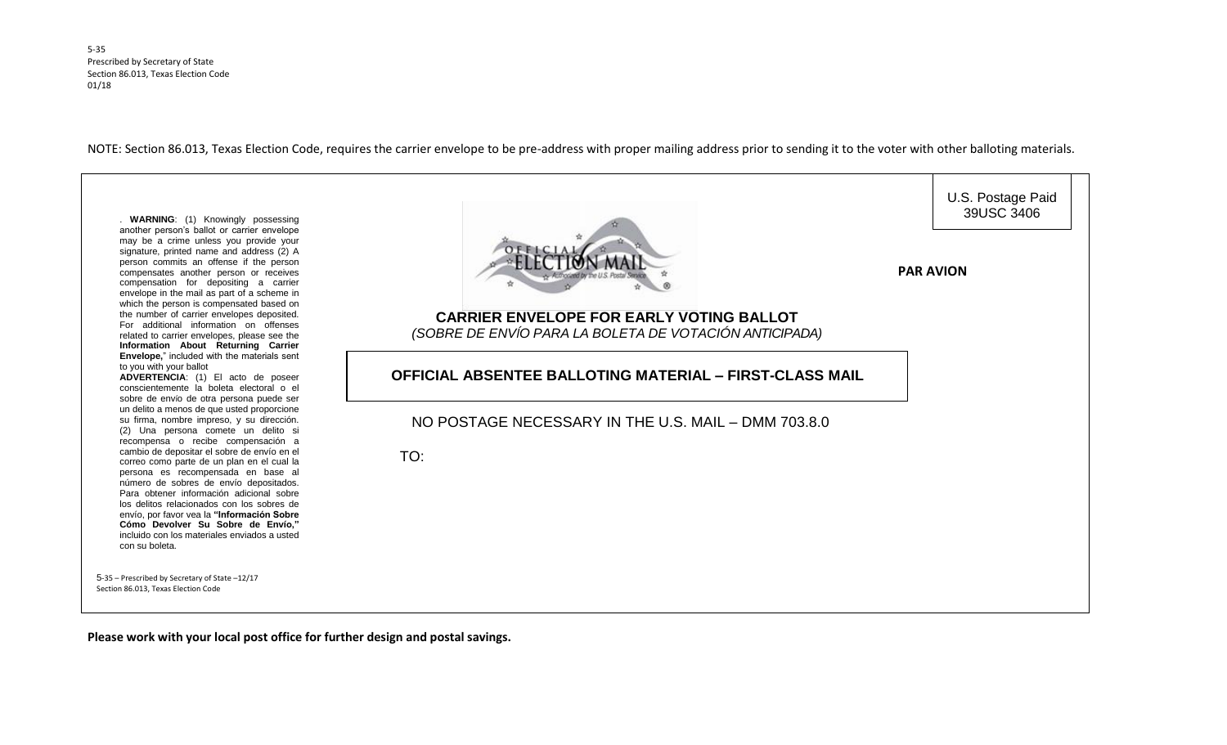5-35 Prescribed by Secretary of State Section 86.013, Texas Election Code 01/18

NOTE: Section 86.013, Texas Election Code, requires the carrier envelope to be pre-address with proper mailing address prior to sending it to the voter with other balloting materials.



**Please work with your local post office for further design and postal savings.**